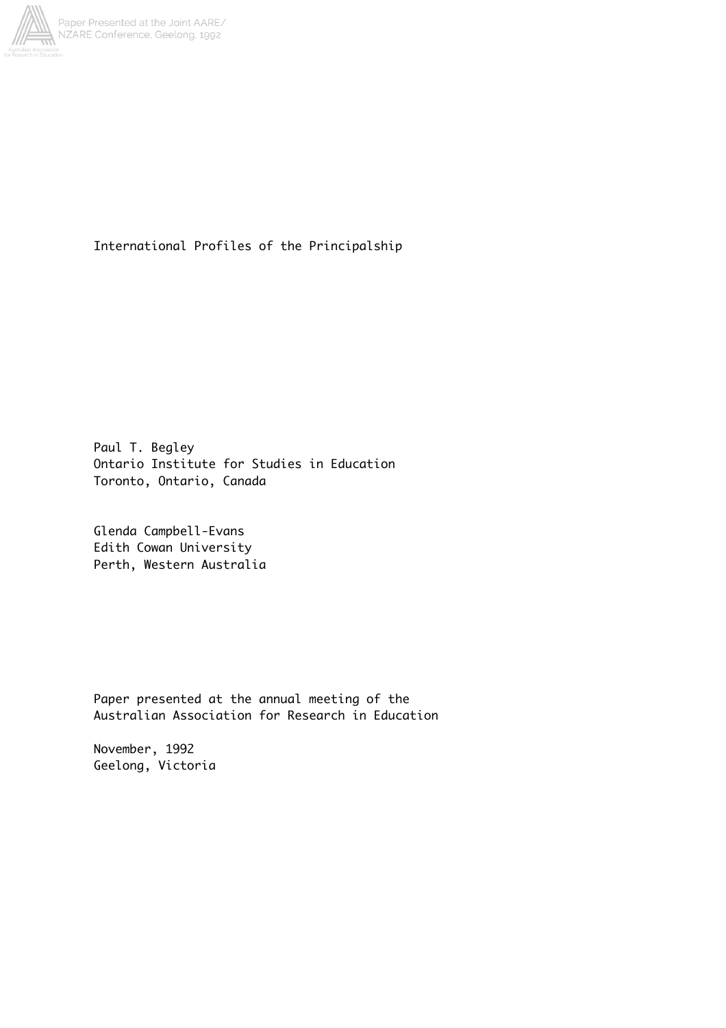

## International Profiles of the Principalship

Paul T. Begley Ontario Institute for Studies in Education Toronto, Ontario, Canada

Glenda Campbell-Evans Edith Cowan University Perth, Western Australia

Paper presented at the annual meeting of the Australian Association for Research in Education

November, 1992 Geelong, Victoria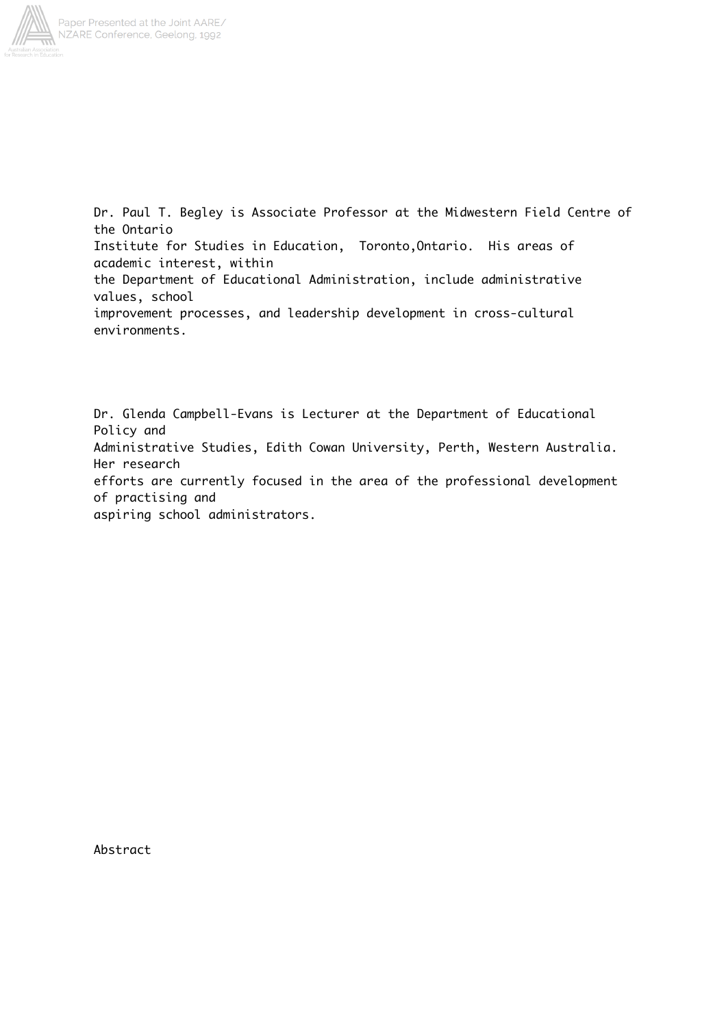

Dr. Paul T. Begley is Associate Professor at the Midwestern Field Centre of the Ontario Institute for Studies in Education, Toronto,Ontario. His areas of academic interest, within the Department of Educational Administration, include administrative values, school improvement processes, and leadership development in cross-cultural environments.

Dr. Glenda Campbell-Evans is Lecturer at the Department of Educational Policy and Administrative Studies, Edith Cowan University, Perth, Western Australia. Her research efforts are currently focused in the area of the professional development of practising and aspiring school administrators.

Abstract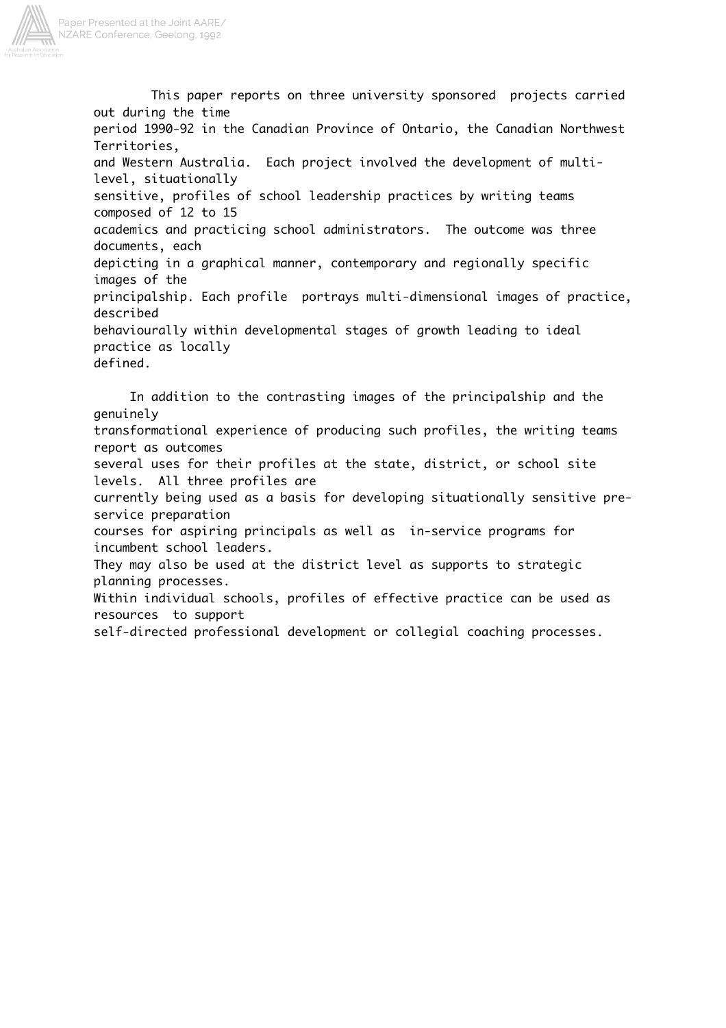

This paper reports on three university sponsored projects carried out during the time period 1990-92 in the Canadian Province of Ontario, the Canadian Northwest Territories, and Western Australia. Each project involved the development of multilevel, situationally sensitive, profiles of school leadership practices by writing teams composed of 12 to 15 academics and practicing school administrators. The outcome was three documents, each depicting in a graphical manner, contemporary and regionally specific images of the principalship. Each profile portrays multi-dimensional images of practice, described behaviourally within developmental stages of growth leading to ideal practice as locally defined.

 In addition to the contrasting images of the principalship and the genuinely transformational experience of producing such profiles, the writing teams report as outcomes several uses for their profiles at the state, district, or school site levels. All three profiles are currently being used as a basis for developing situationally sensitive preservice preparation courses for aspiring principals as well as in-service programs for incumbent school leaders. They may also be used at the district level as supports to strategic planning processes. Within individual schools, profiles of effective practice can be used as resources to support self-directed professional development or collegial coaching processes.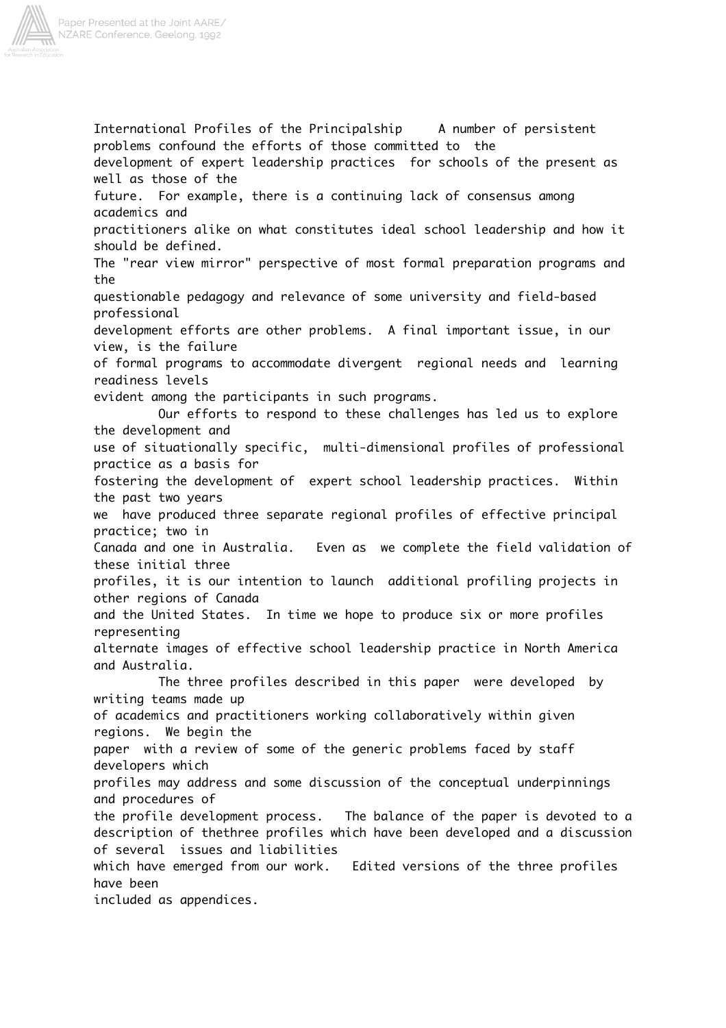

International Profiles of the Principalship A number of persistent problems confound the efforts of those committed to the development of expert leadership practices for schools of the present as well as those of the future. For example, there is a continuing lack of consensus among academics and practitioners alike on what constitutes ideal school leadership and how it should be defined. The "rear view mirror" perspective of most formal preparation programs and the questionable pedagogy and relevance of some university and field-based professional development efforts are other problems. A final important issue, in our view, is the failure of formal programs to accommodate divergent regional needs and learning readiness levels evident among the participants in such programs. Our efforts to respond to these challenges has led us to explore the development and use of situationally specific, multi-dimensional profiles of professional practice as a basis for fostering the development of expert school leadership practices. Within the past two years we have produced three separate regional profiles of effective principal practice; two in Canada and one in Australia. Even as we complete the field validation of these initial three profiles, it is our intention to launch additional profiling projects in other regions of Canada and the United States. In time we hope to produce six or more profiles representing alternate images of effective school leadership practice in North America and Australia. The three profiles described in this paper were developed by writing teams made up of academics and practitioners working collaboratively within given regions. We begin the paper with a review of some of the generic problems faced by staff developers which profiles may address and some discussion of the conceptual underpinnings and procedures of the profile development process. The balance of the paper is devoted to a description of thethree profiles which have been developed and a discussion of several issues and liabilities which have emerged from our work. Edited versions of the three profiles have been included as appendices.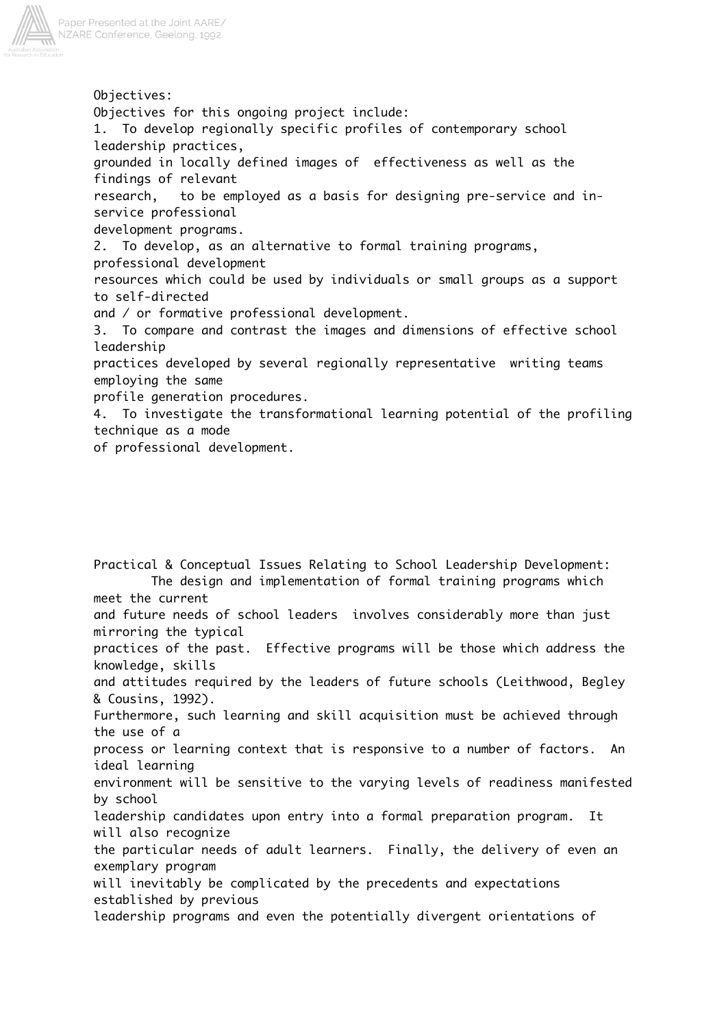

Objectives:

Objectives for this ongoing project include:

1. To develop regionally specific profiles of contemporary school leadership practices,

grounded in locally defined images of effectiveness as well as the findings of relevant

research, to be employed as a basis for designing pre-service and inservice professional

development programs.

2. To develop, as an alternative to formal training programs,

professional development

resources which could be used by individuals or small groups as a support to self-directed

and / or formative professional development.

3. To compare and contrast the images and dimensions of effective school leadership

practices developed by several regionally representative writing teams employing the same

profile generation procedures.

4. To investigate the transformational learning potential of the profiling technique as a mode

of professional development.

Practical & Conceptual Issues Relating to School Leadership Development: The design and implementation of formal training programs which meet the current and future needs of school leaders involves considerably more than just mirroring the typical practices of the past. Effective programs will be those which address the knowledge, skills and attitudes required by the leaders of future schools (Leithwood, Begley & Cousins, 1992). Furthermore, such learning and skill acquisition must be achieved through the use of a process or learning context that is responsive to a number of factors. An ideal learning environment will be sensitive to the varying levels of readiness manifested by school leadership candidates upon entry into a formal preparation program. It will also recognize the particular needs of adult learners. Finally, the delivery of even an exemplary program will inevitably be complicated by the precedents and expectations established by previous leadership programs and even the potentially divergent orientations of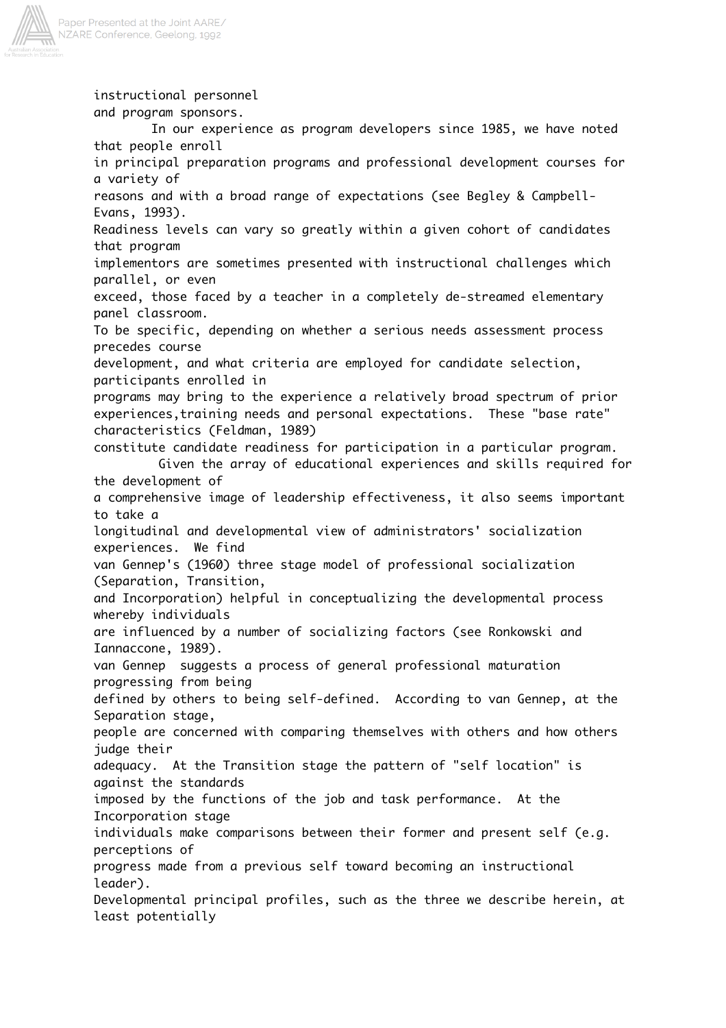

instructional personnel and program sponsors. In our experience as program developers since 1985, we have noted that people enroll in principal preparation programs and professional development courses for a variety of reasons and with a broad range of expectations (see Begley & Campbell-Evans, 1993). Readiness levels can vary so greatly within a given cohort of candidates that program implementors are sometimes presented with instructional challenges which parallel, or even exceed, those faced by a teacher in a completely de-streamed elementary panel classroom. To be specific, depending on whether a serious needs assessment process precedes course development, and what criteria are employed for candidate selection, participants enrolled in programs may bring to the experience a relatively broad spectrum of prior experiences,training needs and personal expectations. These "base rate" characteristics (Feldman, 1989) constitute candidate readiness for participation in a particular program. Given the array of educational experiences and skills required for the development of a comprehensive image of leadership effectiveness, it also seems important to take a longitudinal and developmental view of administrators' socialization experiences. We find van Gennep's (1960) three stage model of professional socialization (Separation, Transition, and Incorporation) helpful in conceptualizing the developmental process whereby individuals are influenced by a number of socializing factors (see Ronkowski and Iannaccone, 1989). van Gennep suggests a process of general professional maturation progressing from being defined by others to being self-defined. According to van Gennep, at the Separation stage, people are concerned with comparing themselves with others and how others judge their adequacy. At the Transition stage the pattern of "self location" is against the standards imposed by the functions of the job and task performance. At the Incorporation stage individuals make comparisons between their former and present self (e.g. perceptions of progress made from a previous self toward becoming an instructional leader). Developmental principal profiles, such as the three we describe herein, at least potentially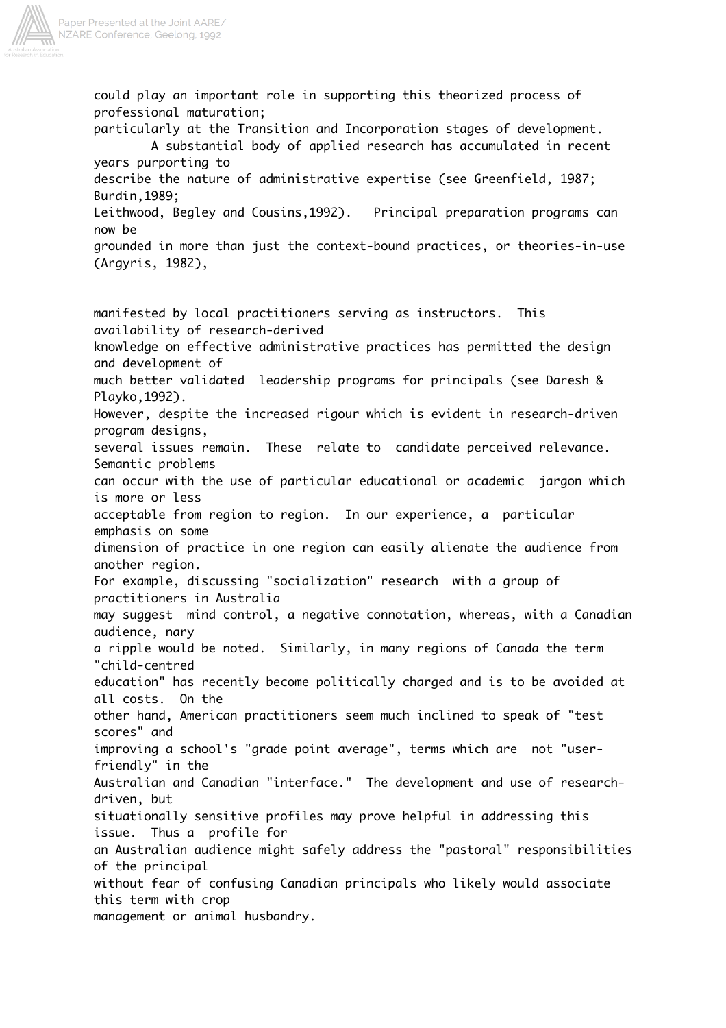

professional maturation; particularly at the Transition and Incorporation stages of development. A substantial body of applied research has accumulated in recent years purporting to describe the nature of administrative expertise (see Greenfield, 1987; Burdin,1989; Leithwood, Begley and Cousins,1992). Principal preparation programs can now be grounded in more than just the context-bound practices, or theories-in-use (Argyris, 1982), manifested by local practitioners serving as instructors. This availability of research-derived knowledge on effective administrative practices has permitted the design and development of much better validated leadership programs for principals (see Daresh & Playko,1992). However, despite the increased rigour which is evident in research-driven program designs, several issues remain. These relate to candidate perceived relevance. Semantic problems can occur with the use of particular educational or academic jargon which is more or less acceptable from region to region. In our experience, a particular emphasis on some dimension of practice in one region can easily alienate the audience from another region. For example, discussing "socialization" research with a group of practitioners in Australia may suggest mind control, a negative connotation, whereas, with a Canadian audience, nary a ripple would be noted. Similarly, in many regions of Canada the term "child-centred education" has recently become politically charged and is to be avoided at all costs. On the other hand, American practitioners seem much inclined to speak of "test scores" and improving a school's "grade point average", terms which are not "userfriendly" in the Australian and Canadian "interface." The development and use of researchdriven, but situationally sensitive profiles may prove helpful in addressing this issue. Thus a profile for an Australian audience might safely address the "pastoral" responsibilities of the principal without fear of confusing Canadian principals who likely would associate this term with crop management or animal husbandry.

could play an important role in supporting this theorized process of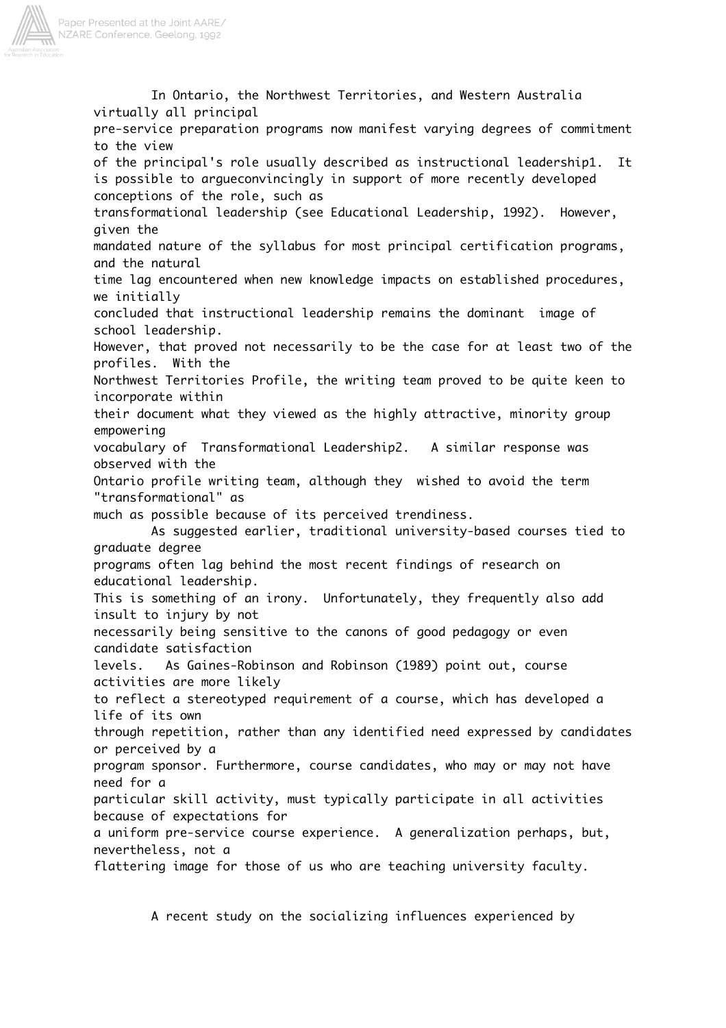

In Ontario, the Northwest Territories, and Western Australia virtually all principal pre-service preparation programs now manifest varying degrees of commitment to the view of the principal's role usually described as instructional leadership1. It is possible to argueconvincingly in support of more recently developed conceptions of the role, such as transformational leadership (see Educational Leadership, 1992). However, given the mandated nature of the syllabus for most principal certification programs, and the natural time lag encountered when new knowledge impacts on established procedures, we initially concluded that instructional leadership remains the dominant image of school leadership. However, that proved not necessarily to be the case for at least two of the profiles. With the Northwest Territories Profile, the writing team proved to be quite keen to incorporate within their document what they viewed as the highly attractive, minority group empowering vocabulary of Transformational Leadership2. A similar response was observed with the Ontario profile writing team, although they wished to avoid the term "transformational" as much as possible because of its perceived trendiness. As suggested earlier, traditional university-based courses tied to graduate degree programs often lag behind the most recent findings of research on educational leadership. This is something of an irony. Unfortunately, they frequently also add insult to injury by not necessarily being sensitive to the canons of good pedagogy or even candidate satisfaction levels. As Gaines-Robinson and Robinson (1989) point out, course activities are more likely to reflect a stereotyped requirement of a course, which has developed a life of its own through repetition, rather than any identified need expressed by candidates or perceived by a program sponsor. Furthermore, course candidates, who may or may not have need for a particular skill activity, must typically participate in all activities because of expectations for a uniform pre-service course experience. A generalization perhaps, but, nevertheless, not a flattering image for those of us who are teaching university faculty.

A recent study on the socializing influences experienced by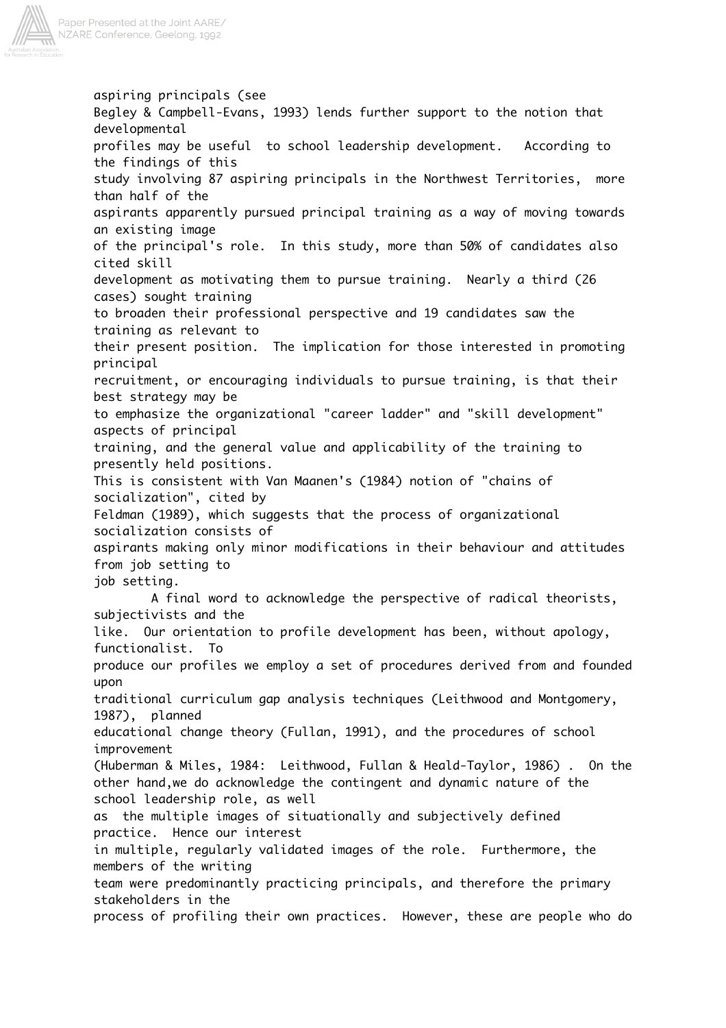

aspiring principals (see Begley & Campbell-Evans, 1993) lends further support to the notion that developmental profiles may be useful to school leadership development. According to the findings of this study involving 87 aspiring principals in the Northwest Territories, more than half of the aspirants apparently pursued principal training as a way of moving towards an existing image of the principal's role. In this study, more than 50% of candidates also cited skill development as motivating them to pursue training. Nearly a third (26 cases) sought training to broaden their professional perspective and 19 candidates saw the training as relevant to their present position. The implication for those interested in promoting principal recruitment, or encouraging individuals to pursue training, is that their best strategy may be to emphasize the organizational "career ladder" and "skill development" aspects of principal training, and the general value and applicability of the training to presently held positions. This is consistent with Van Maanen's (1984) notion of "chains of socialization", cited by Feldman (1989), which suggests that the process of organizational socialization consists of aspirants making only minor modifications in their behaviour and attitudes from job setting to job setting. A final word to acknowledge the perspective of radical theorists, subjectivists and the like. Our orientation to profile development has been, without apology, functionalist. To produce our profiles we employ a set of procedures derived from and founded upon traditional curriculum gap analysis techniques (Leithwood and Montgomery, 1987), planned educational change theory (Fullan, 1991), and the procedures of school improvement (Huberman & Miles, 1984: Leithwood, Fullan & Heald-Taylor, 1986) . On the other hand,we do acknowledge the contingent and dynamic nature of the school leadership role, as well as the multiple images of situationally and subjectively defined practice. Hence our interest in multiple, regularly validated images of the role. Furthermore, the members of the writing team were predominantly practicing principals, and therefore the primary stakeholders in the process of profiling their own practices. However, these are people who do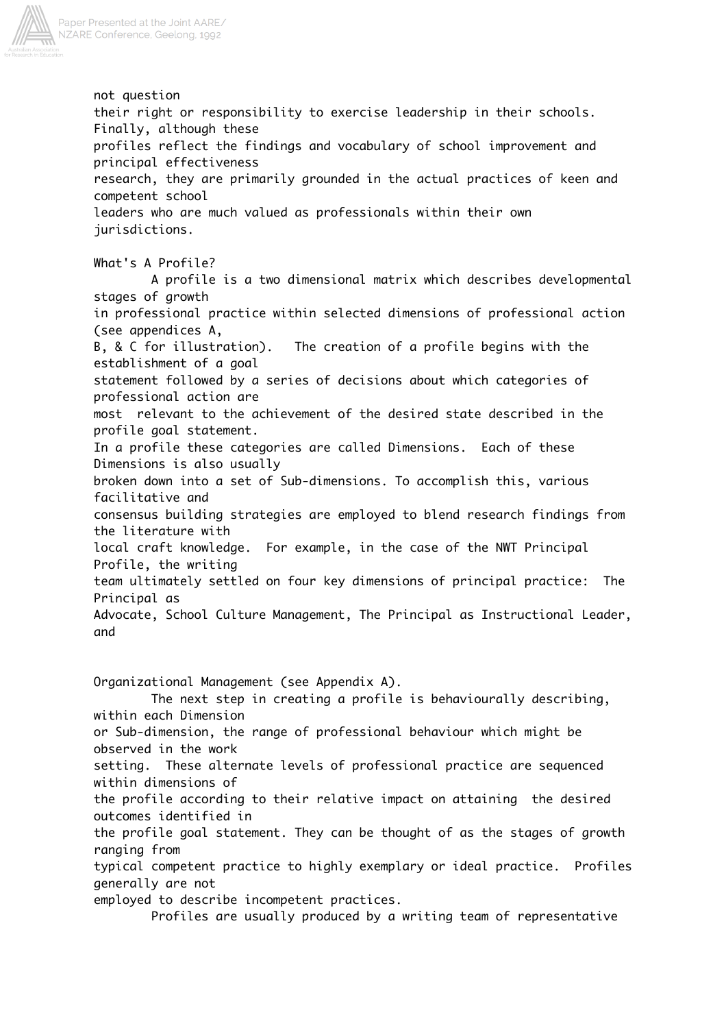

not question their right or responsibility to exercise leadership in their schools. Finally, although these profiles reflect the findings and vocabulary of school improvement and principal effectiveness research, they are primarily grounded in the actual practices of keen and competent school leaders who are much valued as professionals within their own jurisdictions. What's A Profile? A profile is a two dimensional matrix which describes developmental stages of growth in professional practice within selected dimensions of professional action (see appendices A, B, & C for illustration). The creation of a profile begins with the establishment of a goal statement followed by a series of decisions about which categories of professional action are most relevant to the achievement of the desired state described in the profile goal statement. In a profile these categories are called Dimensions. Each of these Dimensions is also usually broken down into a set of Sub-dimensions. To accomplish this, various facilitative and consensus building strategies are employed to blend research findings from the literature with local craft knowledge. For example, in the case of the NWT Principal Profile, the writing team ultimately settled on four key dimensions of principal practice: The Principal as Advocate, School Culture Management, The Principal as Instructional Leader, and Organizational Management (see Appendix A). The next step in creating a profile is behaviourally describing, within each Dimension

or Sub-dimension, the range of professional behaviour which might be observed in the work

setting. These alternate levels of professional practice are sequenced within dimensions of

the profile according to their relative impact on attaining the desired outcomes identified in

the profile goal statement. They can be thought of as the stages of growth ranging from

typical competent practice to highly exemplary or ideal practice. Profiles generally are not

employed to describe incompetent practices.

Profiles are usually produced by a writing team of representative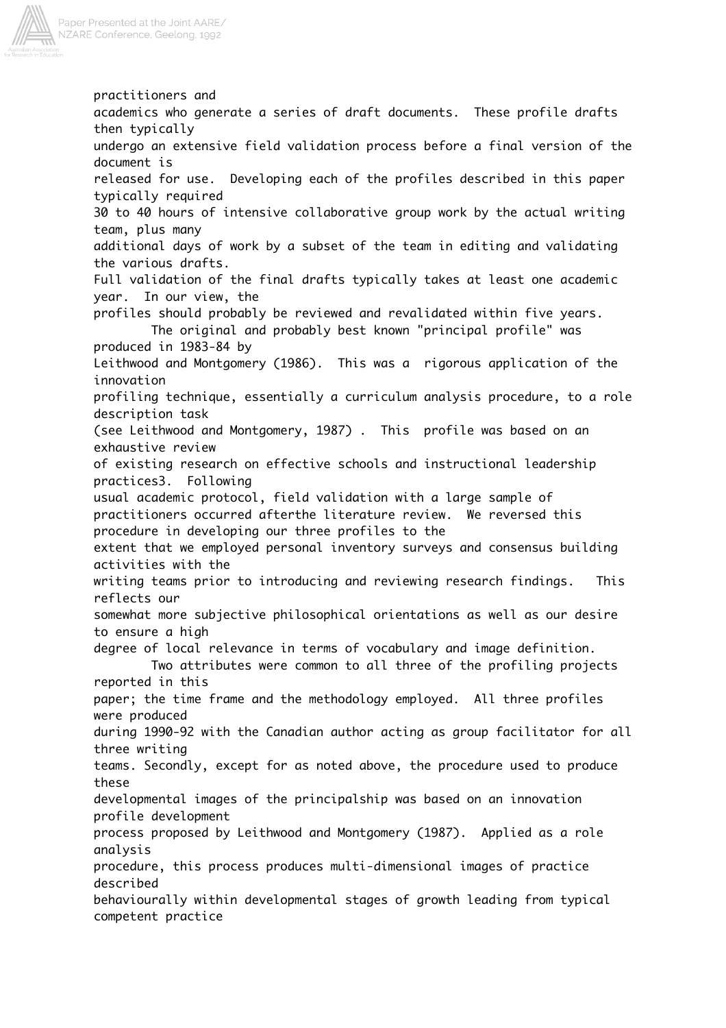

practitioners and academics who generate a series of draft documents. These profile drafts then typically undergo an extensive field validation process before a final version of the document is released for use. Developing each of the profiles described in this paper typically required 30 to 40 hours of intensive collaborative group work by the actual writing team, plus many additional days of work by a subset of the team in editing and validating the various drafts. Full validation of the final drafts typically takes at least one academic year. In our view, the profiles should probably be reviewed and revalidated within five years. The original and probably best known "principal profile" was produced in 1983-84 by Leithwood and Montgomery (1986). This was a rigorous application of the innovation profiling technique, essentially a curriculum analysis procedure, to a role description task (see Leithwood and Montgomery, 1987) . This profile was based on an exhaustive review of existing research on effective schools and instructional leadership practices3. Following usual academic protocol, field validation with a large sample of practitioners occurred afterthe literature review. We reversed this procedure in developing our three profiles to the extent that we employed personal inventory surveys and consensus building activities with the writing teams prior to introducing and reviewing research findings. This reflects our somewhat more subjective philosophical orientations as well as our desire to ensure a high degree of local relevance in terms of vocabulary and image definition. Two attributes were common to all three of the profiling projects reported in this paper; the time frame and the methodology employed. All three profiles were produced during 1990-92 with the Canadian author acting as group facilitator for all three writing teams. Secondly, except for as noted above, the procedure used to produce these developmental images of the principalship was based on an innovation profile development process proposed by Leithwood and Montgomery (1987). Applied as a role analysis procedure, this process produces multi-dimensional images of practice described behaviourally within developmental stages of growth leading from typical competent practice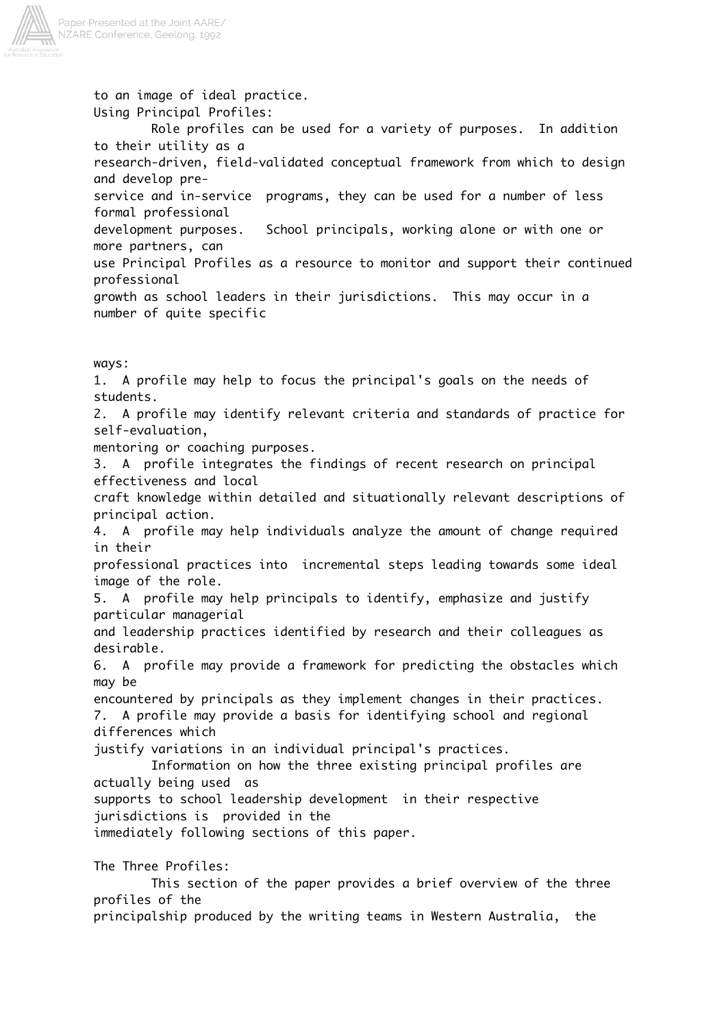

to an image of ideal practice. Using Principal Profiles: Role profiles can be used for a variety of purposes. In addition to their utility as a research-driven, field-validated conceptual framework from which to design and develop preservice and in-service programs, they can be used for a number of less formal professional development purposes. School principals, working alone or with one or more partners, can use Principal Profiles as a resource to monitor and support their continued professional growth as school leaders in their jurisdictions. This may occur in a number of quite specific ways: 1. A profile may help to focus the principal's goals on the needs of students. 2. A profile may identify relevant criteria and standards of practice for self-evaluation, mentoring or coaching purposes. 3. A profile integrates the findings of recent research on principal effectiveness and local craft knowledge within detailed and situationally relevant descriptions of principal action. 4. A profile may help individuals analyze the amount of change required in their professional practices into incremental steps leading towards some ideal image of the role. 5. A profile may help principals to identify, emphasize and justify particular managerial and leadership practices identified by research and their colleagues as desirable. 6. A profile may provide a framework for predicting the obstacles which may be encountered by principals as they implement changes in their practices. 7. A profile may provide a basis for identifying school and regional differences which justify variations in an individual principal's practices. Information on how the three existing principal profiles are actually being used as supports to school leadership development in their respective jurisdictions is provided in the immediately following sections of this paper. The Three Profiles: This section of the paper provides a brief overview of the three profiles of the principalship produced by the writing teams in Western Australia, the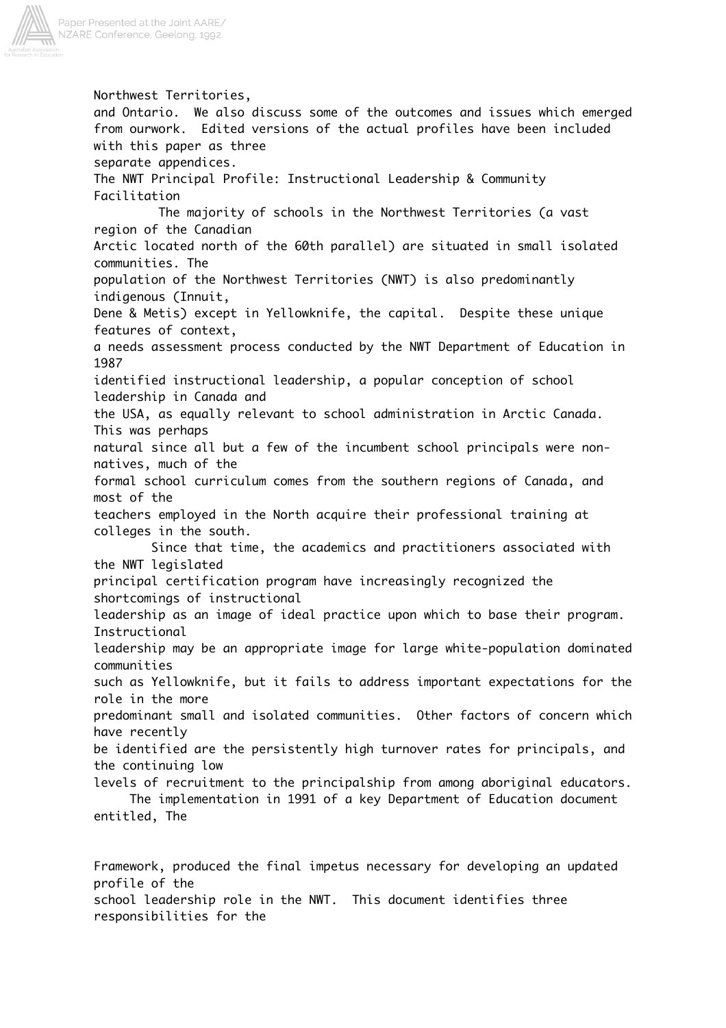

Northwest Territories, and Ontario. We also discuss some of the outcomes and issues which emerged from ourwork. Edited versions of the actual profiles have been included with this paper as three separate appendices. The NWT Principal Profile: Instructional Leadership & Community Facilitation The majority of schools in the Northwest Territories (a vast region of the Canadian Arctic located north of the 60th parallel) are situated in small isolated communities. The population of the Northwest Territories (NWT) is also predominantly indigenous (Innuit, Dene & Metis) except in Yellowknife, the capital. Despite these unique features of context, a needs assessment process conducted by the NWT Department of Education in 1987 identified instructional leadership, a popular conception of school leadership in Canada and the USA, as equally relevant to school administration in Arctic Canada. This was perhaps natural since all but a few of the incumbent school principals were nonnatives, much of the formal school curriculum comes from the southern regions of Canada, and most of the teachers employed in the North acquire their professional training at colleges in the south. Since that time, the academics and practitioners associated with the NWT legislated principal certification program have increasingly recognized the shortcomings of instructional leadership as an image of ideal practice upon which to base their program. Instructional leadership may be an appropriate image for large white-population dominated communities such as Yellowknife, but it fails to address important expectations for the role in the more predominant small and isolated communities. Other factors of concern which have recently be identified are the persistently high turnover rates for principals, and the continuing low levels of recruitment to the principalship from among aboriginal educators. The implementation in 1991 of a key Department of Education document entitled, The

Framework, produced the final impetus necessary for developing an updated profile of the school leadership role in the NWT. This document identifies three responsibilities for the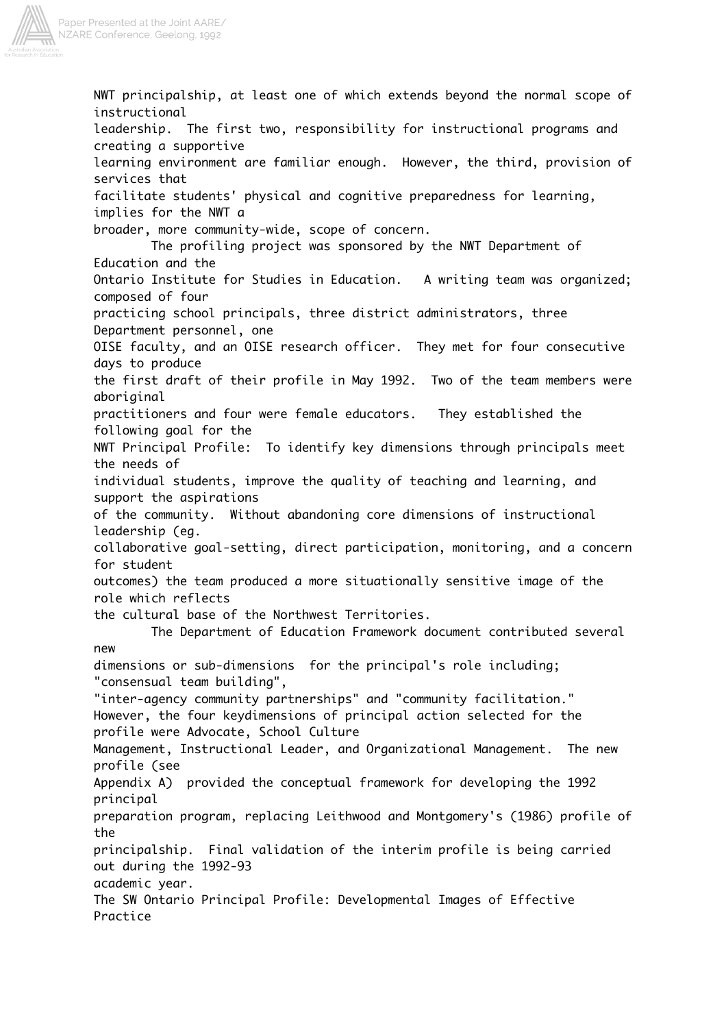

NWT principalship, at least one of which extends beyond the normal scope of instructional leadership. The first two, responsibility for instructional programs and creating a supportive learning environment are familiar enough. However, the third, provision of services that facilitate students' physical and cognitive preparedness for learning, implies for the NWT a broader, more community-wide, scope of concern. The profiling project was sponsored by the NWT Department of Education and the Ontario Institute for Studies in Education. A writing team was organized; composed of four practicing school principals, three district administrators, three Department personnel, one OISE faculty, and an OISE research officer. They met for four consecutive days to produce the first draft of their profile in May 1992. Two of the team members were aboriginal practitioners and four were female educators. They established the following goal for the NWT Principal Profile: To identify key dimensions through principals meet the needs of individual students, improve the quality of teaching and learning, and support the aspirations of the community. Without abandoning core dimensions of instructional leadership (eg. collaborative goal-setting, direct participation, monitoring, and a concern for student outcomes) the team produced a more situationally sensitive image of the role which reflects the cultural base of the Northwest Territories. The Department of Education Framework document contributed several new dimensions or sub-dimensions for the principal's role including; "consensual team building", "inter-agency community partnerships" and "community facilitation." However, the four keydimensions of principal action selected for the profile were Advocate, School Culture Management, Instructional Leader, and Organizational Management. The new profile (see Appendix A) provided the conceptual framework for developing the 1992 principal preparation program, replacing Leithwood and Montgomery's (1986) profile of the principalship. Final validation of the interim profile is being carried out during the 1992-93 academic year. The SW Ontario Principal Profile: Developmental Images of Effective Practice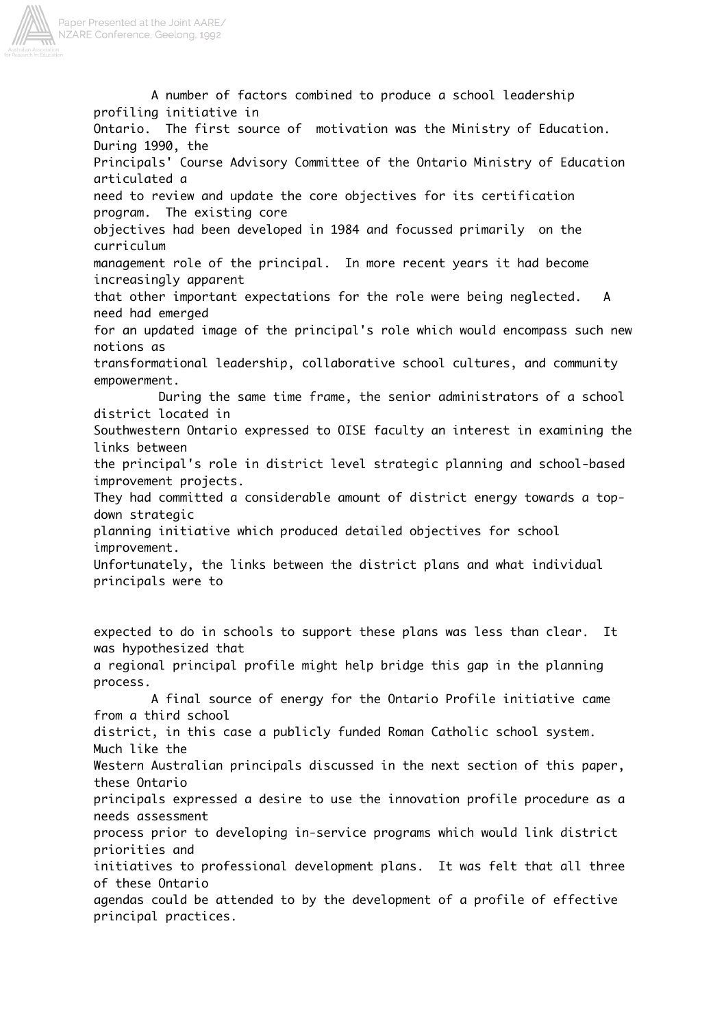

A number of factors combined to produce a school leadership profiling initiative in Ontario. The first source of motivation was the Ministry of Education. During 1990, the Principals' Course Advisory Committee of the Ontario Ministry of Education articulated a need to review and update the core objectives for its certification program. The existing core objectives had been developed in 1984 and focussed primarily on the curriculum management role of the principal. In more recent years it had become increasingly apparent that other important expectations for the role were being neglected. A need had emerged for an updated image of the principal's role which would encompass such new notions as transformational leadership, collaborative school cultures, and community empowerment. During the same time frame, the senior administrators of a school district located in Southwestern Ontario expressed to OISE faculty an interest in examining the links between the principal's role in district level strategic planning and school-based improvement projects. They had committed a considerable amount of district energy towards a topdown strategic planning initiative which produced detailed objectives for school improvement. Unfortunately, the links between the district plans and what individual principals were to expected to do in schools to support these plans was less than clear. It was hypothesized that a regional principal profile might help bridge this gap in the planning process. A final source of energy for the Ontario Profile initiative came from a third school district, in this case a publicly funded Roman Catholic school system. Much like the Western Australian principals discussed in the next section of this paper, these Ontario principals expressed a desire to use the innovation profile procedure as a needs assessment process prior to developing in-service programs which would link district priorities and initiatives to professional development plans. It was felt that all three of these Ontario agendas could be attended to by the development of a profile of effective principal practices.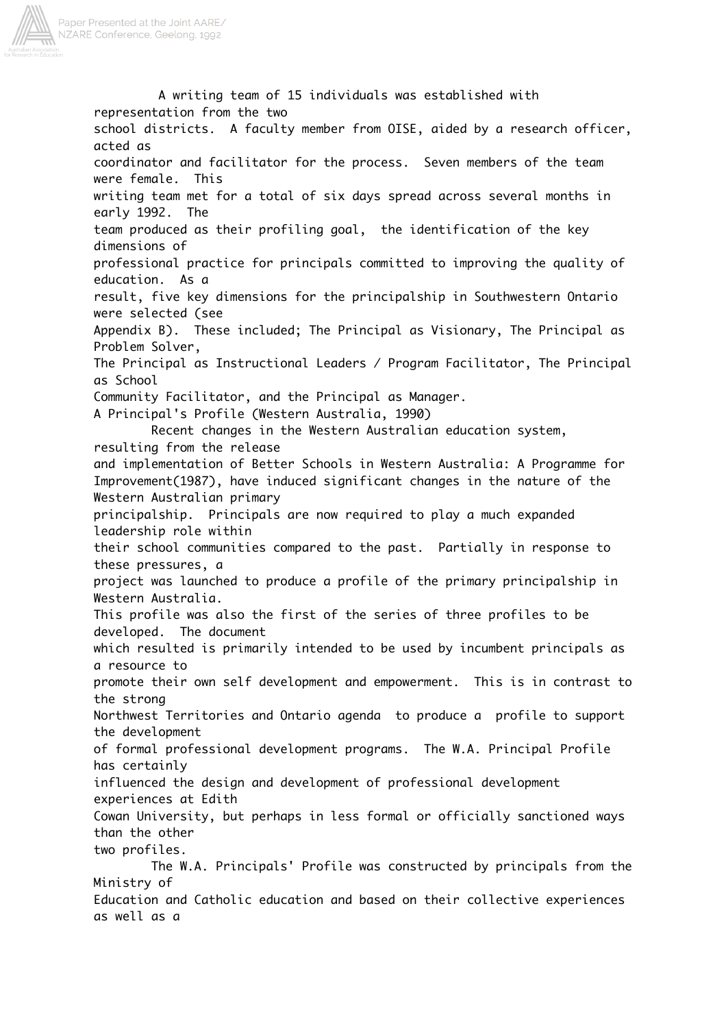

 A writing team of 15 individuals was established with representation from the two school districts. A faculty member from OISE, aided by a research officer, acted as coordinator and facilitator for the process. Seven members of the team were female. This writing team met for a total of six days spread across several months in early 1992. The team produced as their profiling goal, the identification of the key dimensions of professional practice for principals committed to improving the quality of education. As a result, five key dimensions for the principalship in Southwestern Ontario were selected (see Appendix B). These included; The Principal as Visionary, The Principal as Problem Solver, The Principal as Instructional Leaders / Program Facilitator, The Principal as School Community Facilitator, and the Principal as Manager. A Principal's Profile (Western Australia, 1990) Recent changes in the Western Australian education system, resulting from the release and implementation of Better Schools in Western Australia: A Programme for Improvement(1987), have induced significant changes in the nature of the Western Australian primary principalship. Principals are now required to play a much expanded leadership role within their school communities compared to the past. Partially in response to these pressures, a project was launched to produce a profile of the primary principalship in Western Australia. This profile was also the first of the series of three profiles to be developed. The document which resulted is primarily intended to be used by incumbent principals as a resource to promote their own self development and empowerment. This is in contrast to the strong Northwest Territories and Ontario agenda to produce a profile to support the development of formal professional development programs. The W.A. Principal Profile has certainly influenced the design and development of professional development experiences at Edith Cowan University, but perhaps in less formal or officially sanctioned ways than the other two profiles. The W.A. Principals' Profile was constructed by principals from the Ministry of Education and Catholic education and based on their collective experiences as well as a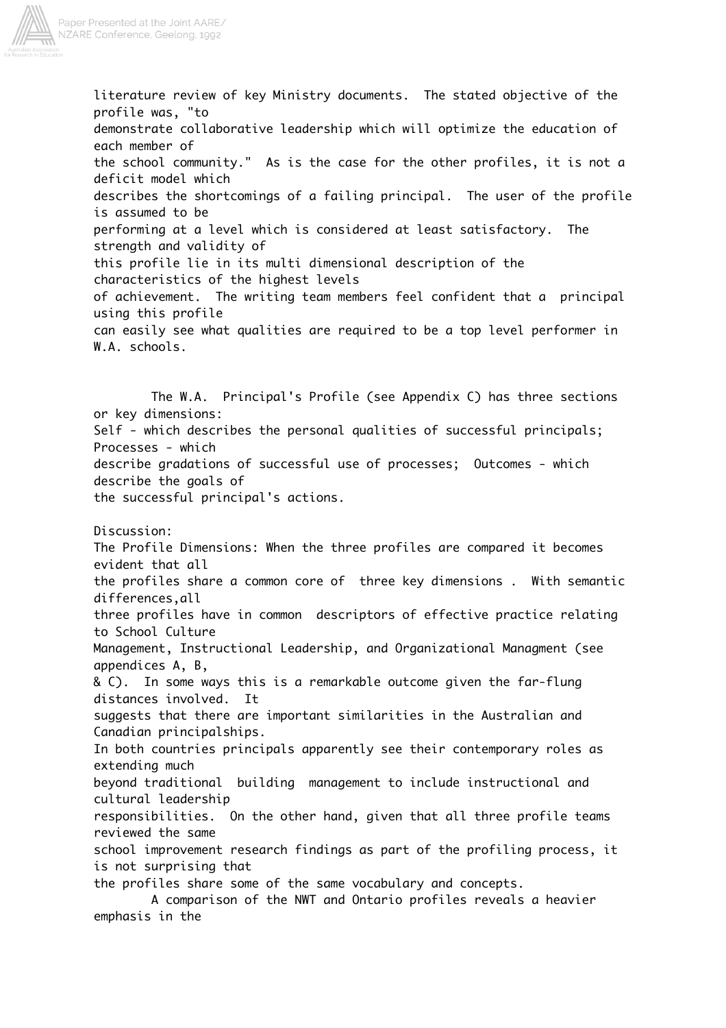

literature review of key Ministry documents. The stated objective of the profile was, "to demonstrate collaborative leadership which will optimize the education of each member of the school community." As is the case for the other profiles, it is not a deficit model which describes the shortcomings of a failing principal. The user of the profile is assumed to be performing at a level which is considered at least satisfactory. The strength and validity of this profile lie in its multi dimensional description of the characteristics of the highest levels of achievement. The writing team members feel confident that a principal using this profile can easily see what qualities are required to be a top level performer in W.A. schools.

The W.A. Principal's Profile (see Appendix C) has three sections or key dimensions: Self - which describes the personal qualities of successful principals; Processes - which describe gradations of successful use of processes; Outcomes - which describe the goals of the successful principal's actions.

Discussion:

The Profile Dimensions: When the three profiles are compared it becomes evident that all the profiles share a common core of three key dimensions . With semantic differences,all

three profiles have in common descriptors of effective practice relating to School Culture

Management, Instructional Leadership, and Organizational Managment (see appendices A, B,

& C). In some ways this is a remarkable outcome given the far-flung distances involved. It

suggests that there are important similarities in the Australian and Canadian principalships.

In both countries principals apparently see their contemporary roles as extending much

beyond traditional building management to include instructional and cultural leadership

responsibilities. On the other hand, given that all three profile teams reviewed the same

school improvement research findings as part of the profiling process, it is not surprising that

the profiles share some of the same vocabulary and concepts.

A comparison of the NWT and Ontario profiles reveals a heavier emphasis in the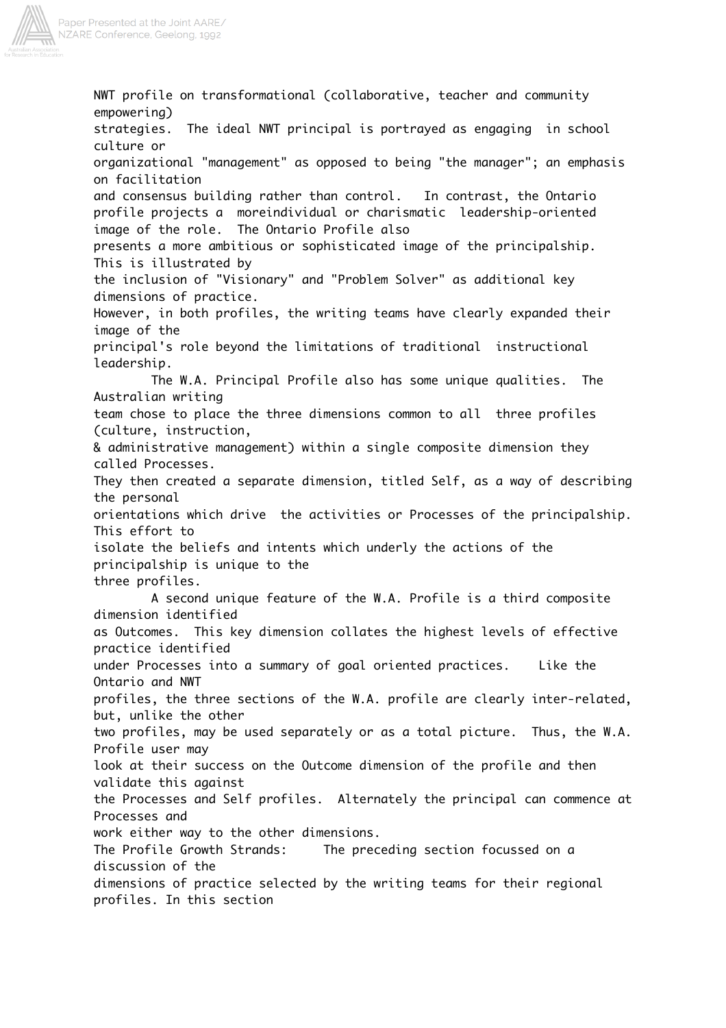

NWT profile on transformational (collaborative, teacher and community empowering) strategies. The ideal NWT principal is portrayed as engaging in school culture or organizational "management" as opposed to being "the manager"; an emphasis on facilitation and consensus building rather than control. In contrast, the Ontario profile projects a moreindividual or charismatic leadership-oriented image of the role. The Ontario Profile also presents a more ambitious or sophisticated image of the principalship. This is illustrated by the inclusion of "Visionary" and "Problem Solver" as additional key dimensions of practice. However, in both profiles, the writing teams have clearly expanded their image of the principal's role beyond the limitations of traditional instructional leadership. The W.A. Principal Profile also has some unique qualities. The Australian writing team chose to place the three dimensions common to all three profiles (culture, instruction, & administrative management) within a single composite dimension they called Processes. They then created a separate dimension, titled Self, as a way of describing the personal orientations which drive the activities or Processes of the principalship. This effort to isolate the beliefs and intents which underly the actions of the principalship is unique to the three profiles. A second unique feature of the W.A. Profile is a third composite dimension identified as Outcomes. This key dimension collates the highest levels of effective practice identified under Processes into a summary of goal oriented practices. Like the Ontario and NWT profiles, the three sections of the W.A. profile are clearly inter-related, but, unlike the other two profiles, may be used separately or as a total picture. Thus, the W.A. Profile user may look at their success on the Outcome dimension of the profile and then validate this against the Processes and Self profiles. Alternately the principal can commence at Processes and work either way to the other dimensions. The Profile Growth Strands: The preceding section focussed on a discussion of the dimensions of practice selected by the writing teams for their regional profiles. In this section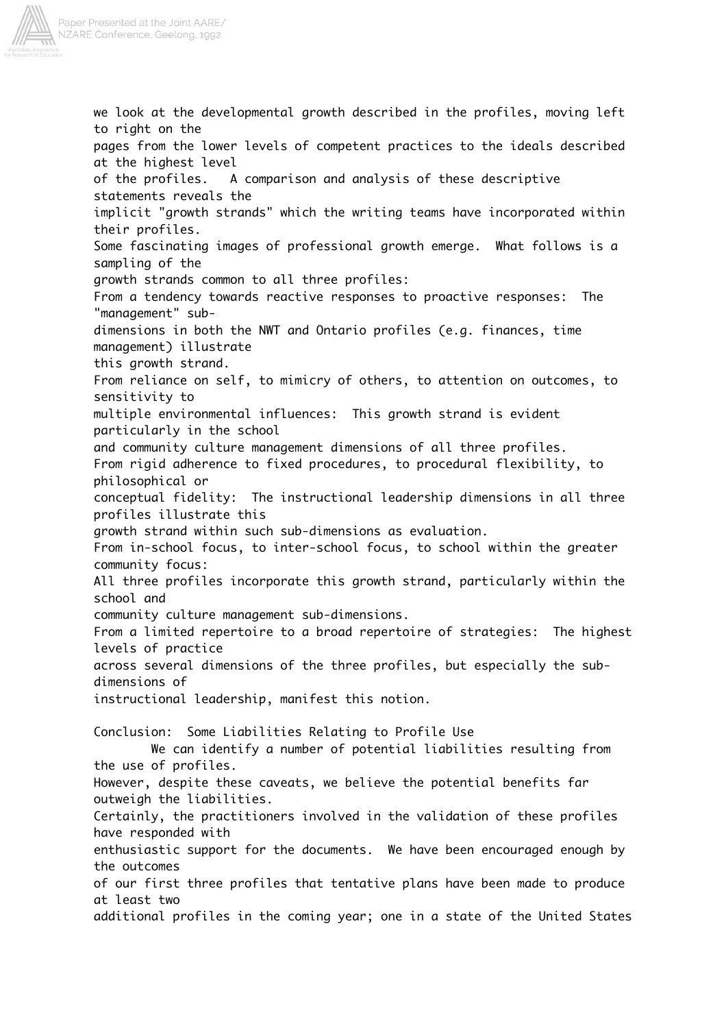

we look at the developmental growth described in the profiles, moving left to right on the pages from the lower levels of competent practices to the ideals described at the highest level of the profiles. A comparison and analysis of these descriptive statements reveals the implicit "growth strands" which the writing teams have incorporated within their profiles. Some fascinating images of professional growth emerge. What follows is a sampling of the growth strands common to all three profiles: From a tendency towards reactive responses to proactive responses: The "management" subdimensions in both the NWT and Ontario profiles (e.g. finances, time management) illustrate this growth strand. From reliance on self, to mimicry of others, to attention on outcomes, to sensitivity to multiple environmental influences: This growth strand is evident particularly in the school and community culture management dimensions of all three profiles. From rigid adherence to fixed procedures, to procedural flexibility, to philosophical or conceptual fidelity: The instructional leadership dimensions in all three profiles illustrate this growth strand within such sub-dimensions as evaluation. From in-school focus, to inter-school focus, to school within the greater community focus: All three profiles incorporate this growth strand, particularly within the school and community culture management sub-dimensions. From a limited repertoire to a broad repertoire of strategies: The highest levels of practice across several dimensions of the three profiles, but especially the subdimensions of instructional leadership, manifest this notion. Conclusion: Some Liabilities Relating to Profile Use We can identify a number of potential liabilities resulting from the use of profiles. However, despite these caveats, we believe the potential benefits far outweigh the liabilities. Certainly, the practitioners involved in the validation of these profiles have responded with enthusiastic support for the documents. We have been encouraged enough by the outcomes of our first three profiles that tentative plans have been made to produce at least two additional profiles in the coming year; one in a state of the United States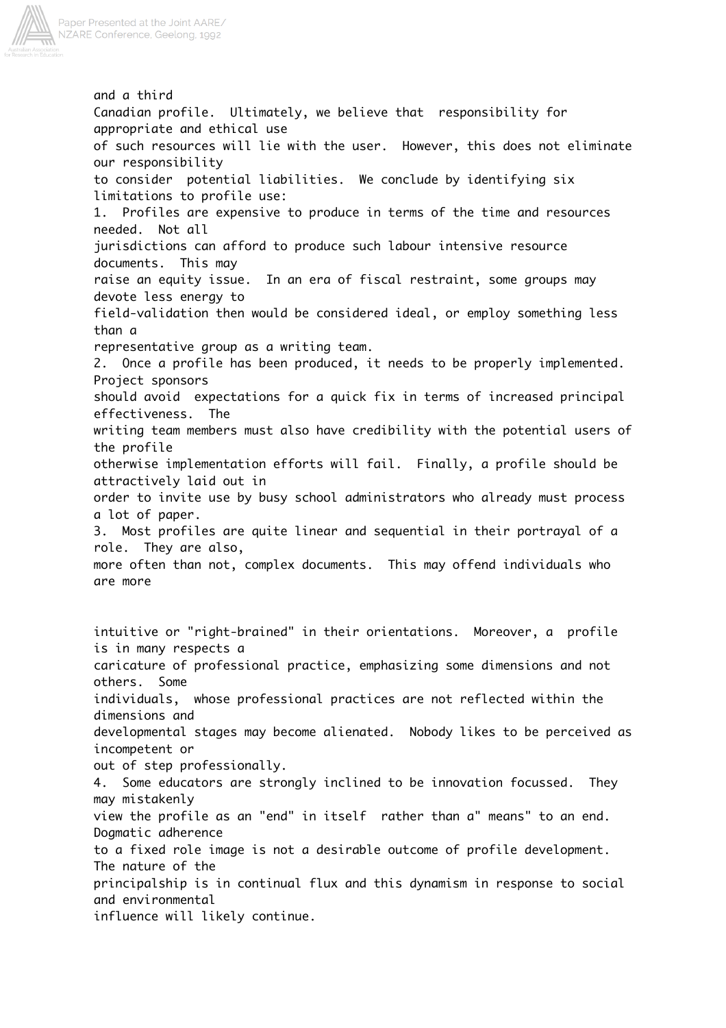

and a third Canadian profile. Ultimately, we believe that responsibility for appropriate and ethical use of such resources will lie with the user. However, this does not eliminate our responsibility to consider potential liabilities. We conclude by identifying six limitations to profile use: 1. Profiles are expensive to produce in terms of the time and resources needed. Not all jurisdictions can afford to produce such labour intensive resource documents. This may raise an equity issue. In an era of fiscal restraint, some groups may devote less energy to field-validation then would be considered ideal, or employ something less than a representative group as a writing team. 2. Once a profile has been produced, it needs to be properly implemented. Project sponsors should avoid expectations for a quick fix in terms of increased principal effectiveness. The writing team members must also have credibility with the potential users of the profile otherwise implementation efforts will fail. Finally, a profile should be attractively laid out in order to invite use by busy school administrators who already must process a lot of paper. 3. Most profiles are quite linear and sequential in their portrayal of a role. They are also, more often than not, complex documents. This may offend individuals who are more intuitive or "right-brained" in their orientations. Moreover, a profile is in many respects a caricature of professional practice, emphasizing some dimensions and not others. Some individuals, whose professional practices are not reflected within the dimensions and developmental stages may become alienated. Nobody likes to be perceived as incompetent or out of step professionally. 4. Some educators are strongly inclined to be innovation focussed. They may mistakenly view the profile as an "end" in itself rather than a" means" to an end. Dogmatic adherence to a fixed role image is not a desirable outcome of profile development. The nature of the principalship is in continual flux and this dynamism in response to social and environmental influence will likely continue.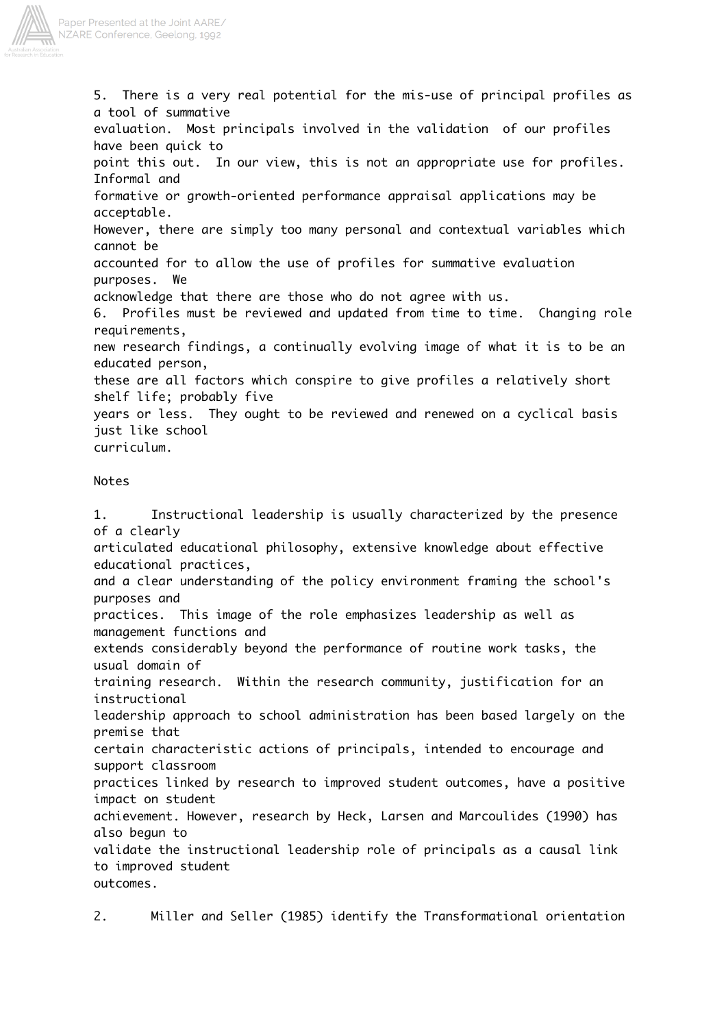

5. There is a very real potential for the mis-use of principal profiles as a tool of summative evaluation. Most principals involved in the validation of our profiles have been quick to point this out. In our view, this is not an appropriate use for profiles. Informal and formative or growth-oriented performance appraisal applications may be acceptable. However, there are simply too many personal and contextual variables which cannot be accounted for to allow the use of profiles for summative evaluation purposes. We acknowledge that there are those who do not agree with us. 6. Profiles must be reviewed and updated from time to time. Changing role requirements. new research findings, a continually evolving image of what it is to be an educated person, these are all factors which conspire to give profiles a relatively short shelf life; probably five years or less. They ought to be reviewed and renewed on a cyclical basis just like school curriculum.

## Notes

1. Instructional leadership is usually characterized by the presence of a clearly articulated educational philosophy, extensive knowledge about effective educational practices, and a clear understanding of the policy environment framing the school's purposes and practices. This image of the role emphasizes leadership as well as management functions and extends considerably beyond the performance of routine work tasks, the usual domain of training research. Within the research community, justification for an instructional leadership approach to school administration has been based largely on the premise that certain characteristic actions of principals, intended to encourage and support classroom practices linked by research to improved student outcomes, have a positive impact on student achievement. However, research by Heck, Larsen and Marcoulides (1990) has also begun to validate the instructional leadership role of principals as a causal link to improved student outcomes.

2. Miller and Seller (1985) identify the Transformational orientation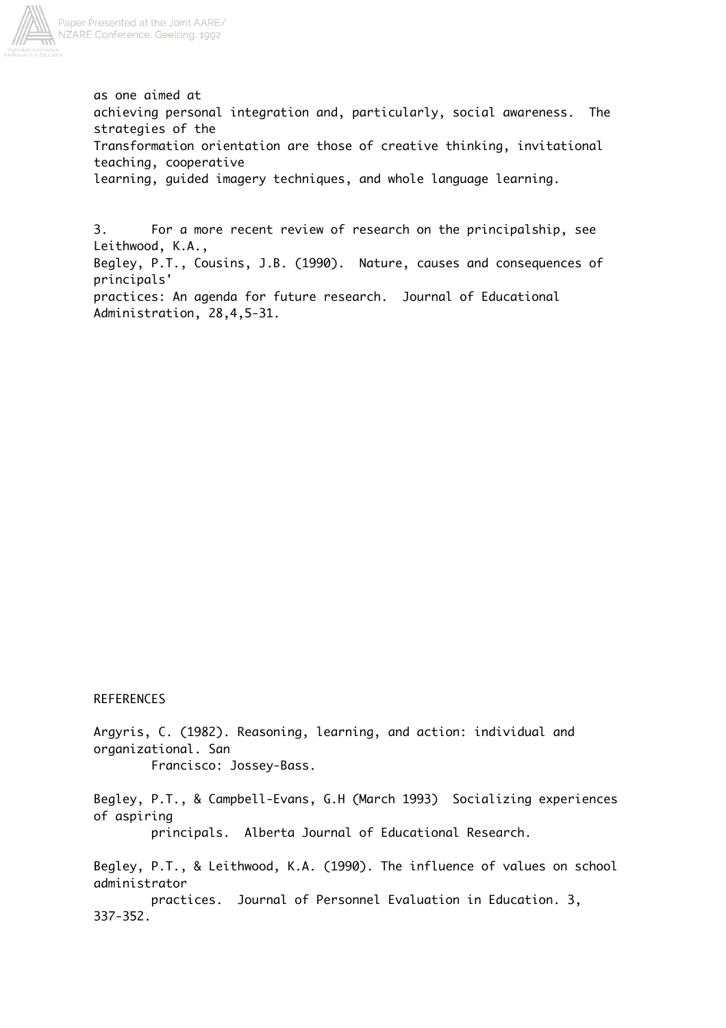

as one aimed at achieving personal integration and, particularly, social awareness. The strategies of the Transformation orientation are those of creative thinking, invitational teaching, cooperative learning, guided imagery techniques, and whole language learning.

3. For a more recent review of research on the principalship, see Leithwood, K.A., Begley, P.T., Cousins, J.B. (1990). Nature, causes and consequences of principals' practices: An agenda for future research. Journal of Educational Administration, 28,4,5-31.

## REFERENCES

Argyris, C. (1982). Reasoning, learning, and action: individual and organizational. San Francisco: Jossey-Bass. Begley, P.T., & Campbell-Evans, G.H (March 1993) Socializing experiences of aspiring principals. Alberta Journal of Educational Research. Begley, P.T., & Leithwood, K.A. (1990). The influence of values on school administrator practices. Journal of Personnel Evaluation in Education. 3,

337-352.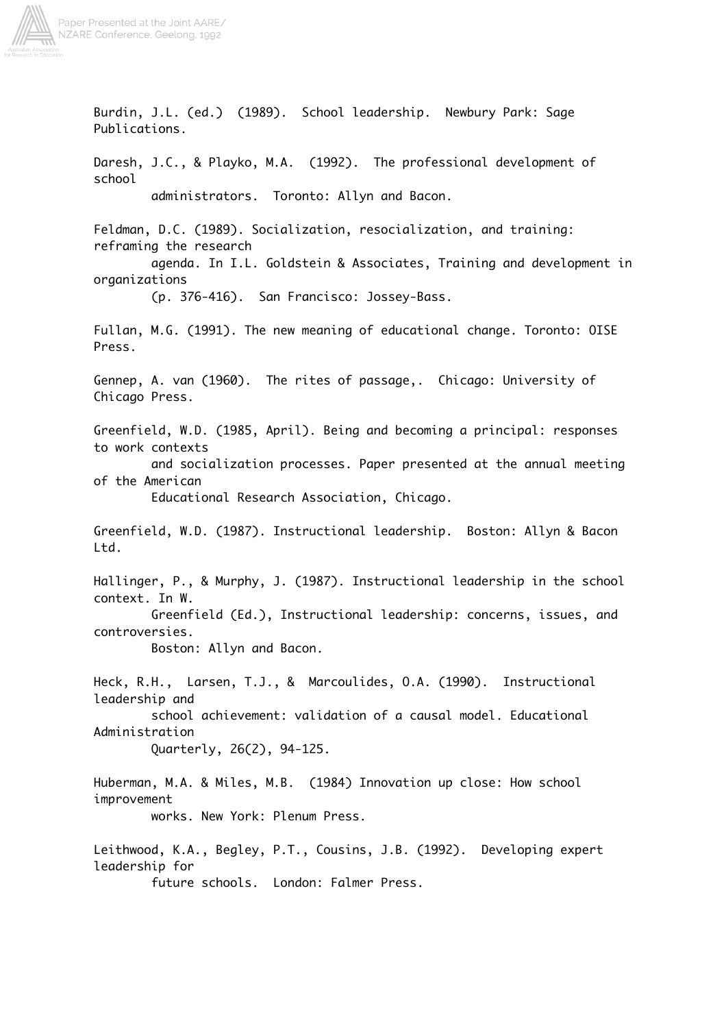

Publications.

Daresh, J.C., & Playko, M.A. (1992). The professional development of school administrators. Toronto: Allyn and Bacon. Feldman, D.C. (1989). Socialization, resocialization, and training: reframing the research agenda. In I.L. Goldstein & Associates, Training and development in organizations (p. 376-416). San Francisco: Jossey-Bass. Fullan, M.G. (1991). The new meaning of educational change. Toronto: OISE Press. Gennep, A. van (1960). The rites of passage,. Chicago: University of Chicago Press. Greenfield, W.D. (1985, April). Being and becoming a principal: responses to work contexts and socialization processes. Paper presented at the annual meeting of the American Educational Research Association, Chicago. Greenfield, W.D. (1987). Instructional leadership. Boston: Allyn & Bacon Ltd. Hallinger, P., & Murphy, J. (1987). Instructional leadership in the school context. In W. Greenfield (Ed.), Instructional leadership: concerns, issues, and controversies. Boston: Allyn and Bacon. Heck, R.H., Larsen, T.J., & Marcoulides, O.A. (1990). Instructional leadership and school achievement: validation of a causal model. Educational Administration Quarterly, 26(2), 94-125.

Burdin, J.L. (ed.) (1989). School leadership. Newbury Park: Sage

Huberman, M.A. & Miles, M.B. (1984) Innovation up close: How school improvement works. New York: Plenum Press.

Leithwood, K.A., Begley, P.T., Cousins, J.B. (1992). Developing expert leadership for

future schools. London: Falmer Press.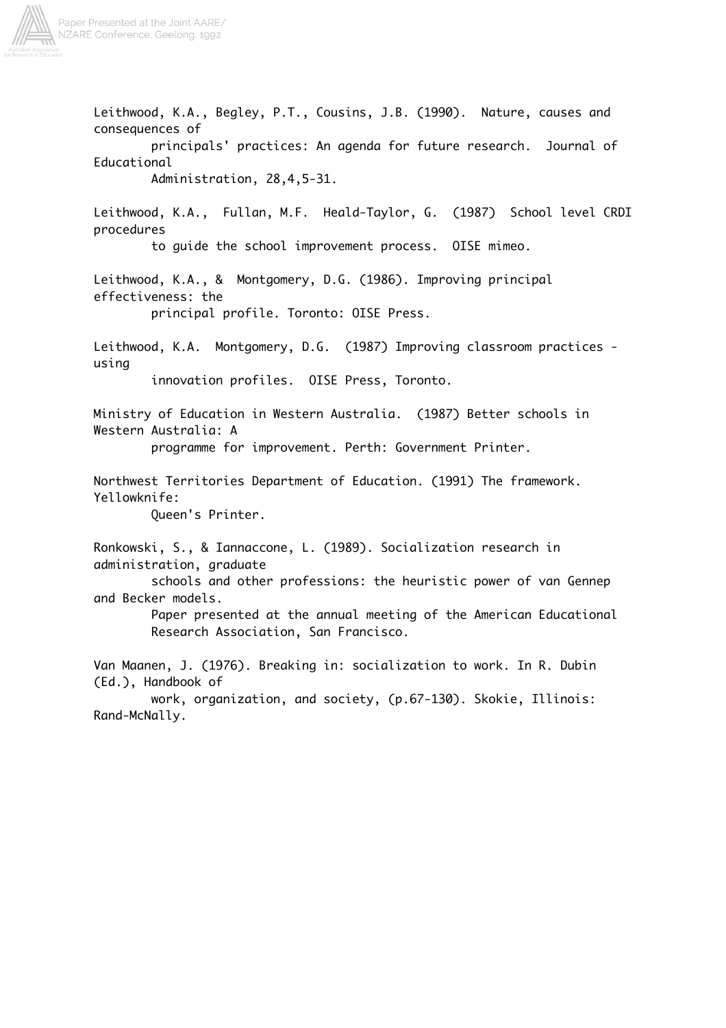

Leithwood, K.A., Begley, P.T., Cousins, J.B. (1990). Nature, causes and consequences of principals' practices: An agenda for future research. Journal of Educational Administration, 28,4,5-31. Leithwood, K.A., Fullan, M.F. Heald-Taylor, G. (1987) School level CRDI procedures to guide the school improvement process. OISE mimeo. Leithwood, K.A., & Montgomery, D.G. (1986). Improving principal effectiveness: the principal profile. Toronto: OISE Press. Leithwood, K.A. Montgomery, D.G. (1987) Improving classroom practices using innovation profiles. OISE Press, Toronto. Ministry of Education in Western Australia. (1987) Better schools in Western Australia: A programme for improvement. Perth: Government Printer. Northwest Territories Department of Education. (1991) The framework. Yellowknife: Queen's Printer. Ronkowski, S., & Iannaccone, L. (1989). Socialization research in administration, graduate schools and other professions: the heuristic power of van Gennep and Becker models. Paper presented at the annual meeting of the American Educational Research Association, San Francisco. Van Maanen, J. (1976). Breaking in: socialization to work. In R. Dubin (Ed.), Handbook of work, organization, and society, (p.67-130). Skokie, Illinois: Rand-McNally.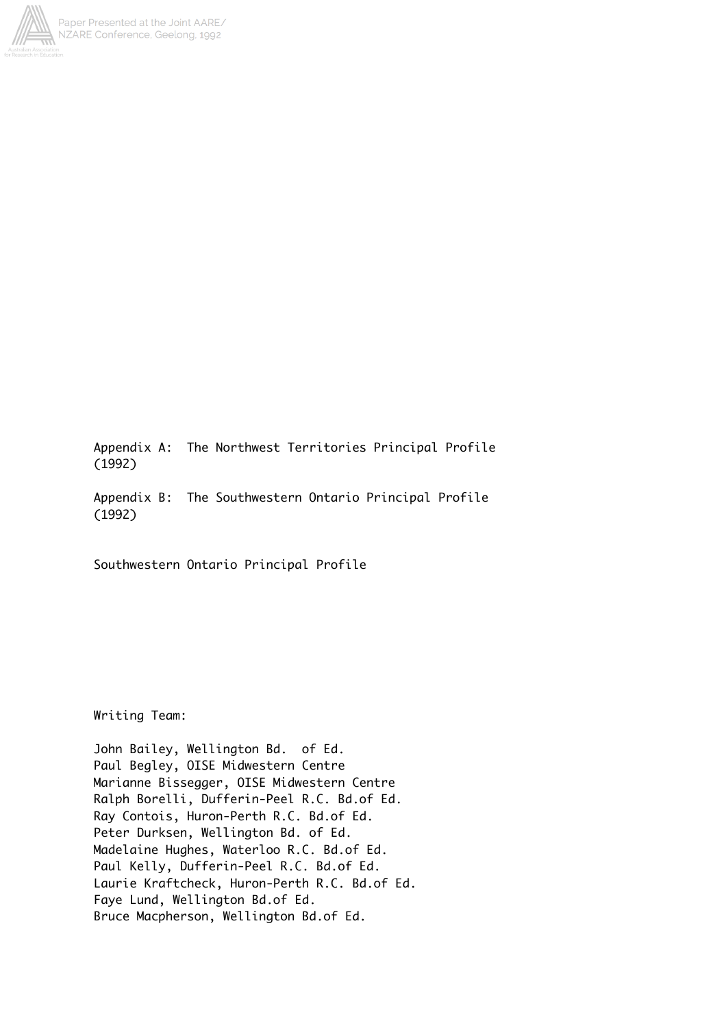

Appendix A: The Northwest Territories Principal Profile (1992)

Appendix B: The Southwestern Ontario Principal Profile (1992)

Southwestern Ontario Principal Profile

Writing Team:

John Bailey, Wellington Bd. of Ed. Paul Begley, OISE Midwestern Centre Marianne Bissegger, OISE Midwestern Centre Ralph Borelli, Dufferin-Peel R.C. Bd.of Ed. Ray Contois, Huron-Perth R.C. Bd.of Ed. Peter Durksen, Wellington Bd. of Ed. Madelaine Hughes, Waterloo R.C. Bd.of Ed. Paul Kelly, Dufferin-Peel R.C. Bd.of Ed. Laurie Kraftcheck, Huron-Perth R.C. Bd.of Ed. Faye Lund, Wellington Bd.of Ed. Bruce Macpherson, Wellington Bd.of Ed.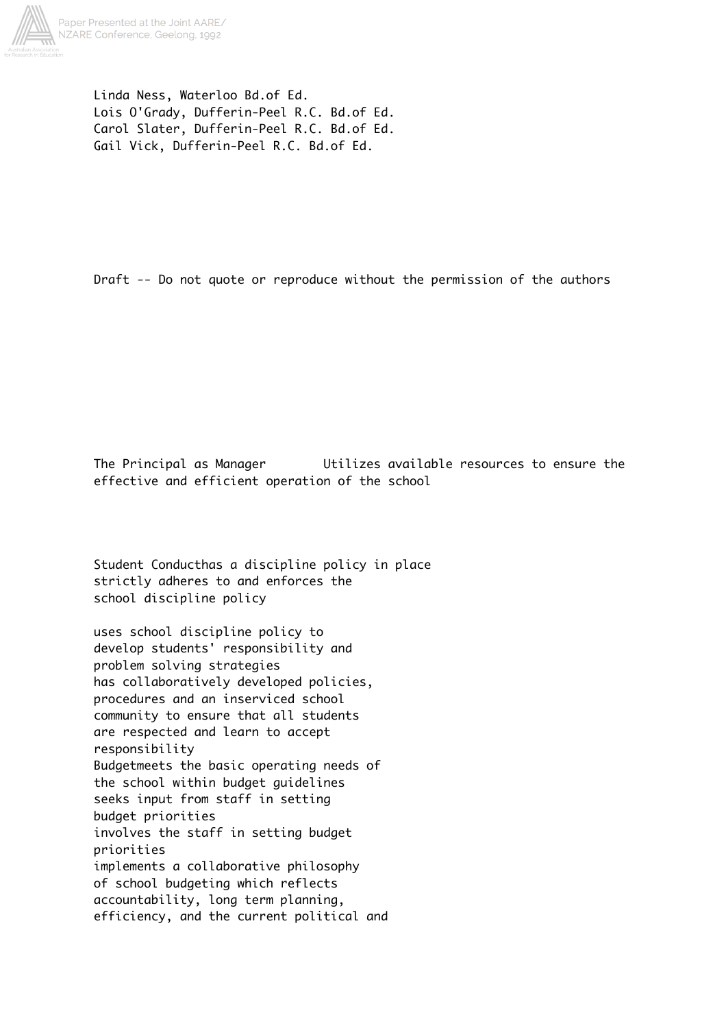

Linda Ness, Waterloo Bd.of Ed. Lois O'Grady, Dufferin-Peel R.C. Bd.of Ed. Carol Slater, Dufferin-Peel R.C. Bd.of Ed. Gail Vick, Dufferin-Peel R.C. Bd.of Ed.

Draft -- Do not quote or reproduce without the permission of the authors

The Principal as Manager Utilizes available resources to ensure the effective and efficient operation of the school

Student Conducthas a discipline policy in place strictly adheres to and enforces the school discipline policy

uses school discipline policy to develop students' responsibility and problem solving strategies has collaboratively developed policies, procedures and an inserviced school community to ensure that all students are respected and learn to accept responsibility Budgetmeets the basic operating needs of the school within budget guidelines seeks input from staff in setting budget priorities involves the staff in setting budget priorities implements a collaborative philosophy of school budgeting which reflects accountability, long term planning, efficiency, and the current political and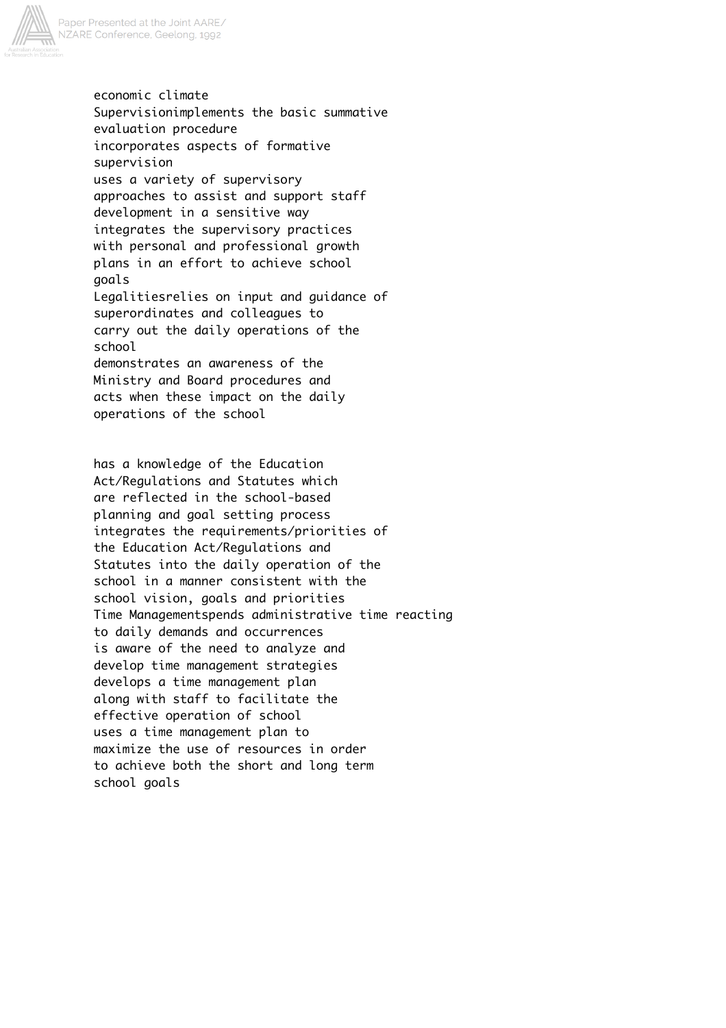

economic climate Supervisionimplements the basic summative evaluation procedure incorporates aspects of formative supervision uses a variety of supervisory approaches to assist and support staff development in a sensitive way integrates the supervisory practices with personal and professional growth plans in an effort to achieve school goals Legalitiesrelies on input and guidance of superordinates and colleagues to carry out the daily operations of the school demonstrates an awareness of the Ministry and Board procedures and acts when these impact on the daily operations of the school

has a knowledge of the Education Act/Regulations and Statutes which are reflected in the school-based planning and goal setting process integrates the requirements/priorities of the Education Act/Regulations and Statutes into the daily operation of the school in a manner consistent with the school vision, goals and priorities Time Managementspends administrative time reacting to daily demands and occurrences is aware of the need to analyze and develop time management strategies develops a time management plan along with staff to facilitate the effective operation of school uses a time management plan to maximize the use of resources in order to achieve both the short and long term school goals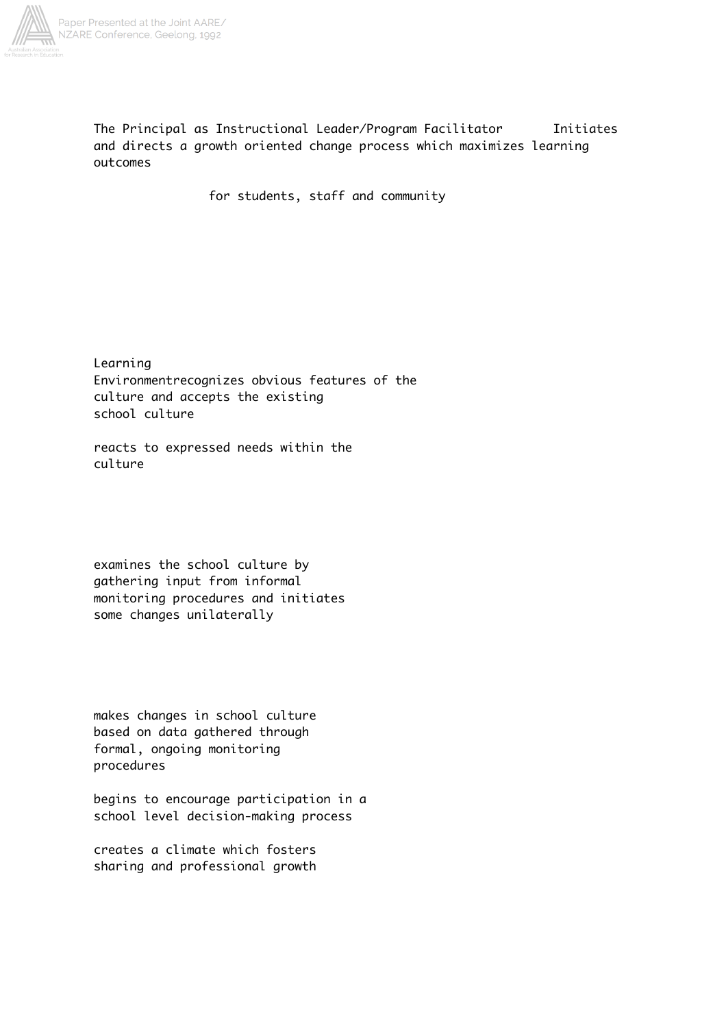

The Principal as Instructional Leader/Program Facilitator **Initiates** and directs a growth oriented change process which maximizes learning outcomes

for students, staff and community

Learning Environmentrecognizes obvious features of the culture and accepts the existing school culture

reacts to expressed needs within the culture

examines the school culture by gathering input from informal monitoring procedures and initiates some changes unilaterally

makes changes in school culture based on data gathered through formal, ongoing monitoring procedures

begins to encourage participation in a school level decision-making process

creates a climate which fosters sharing and professional growth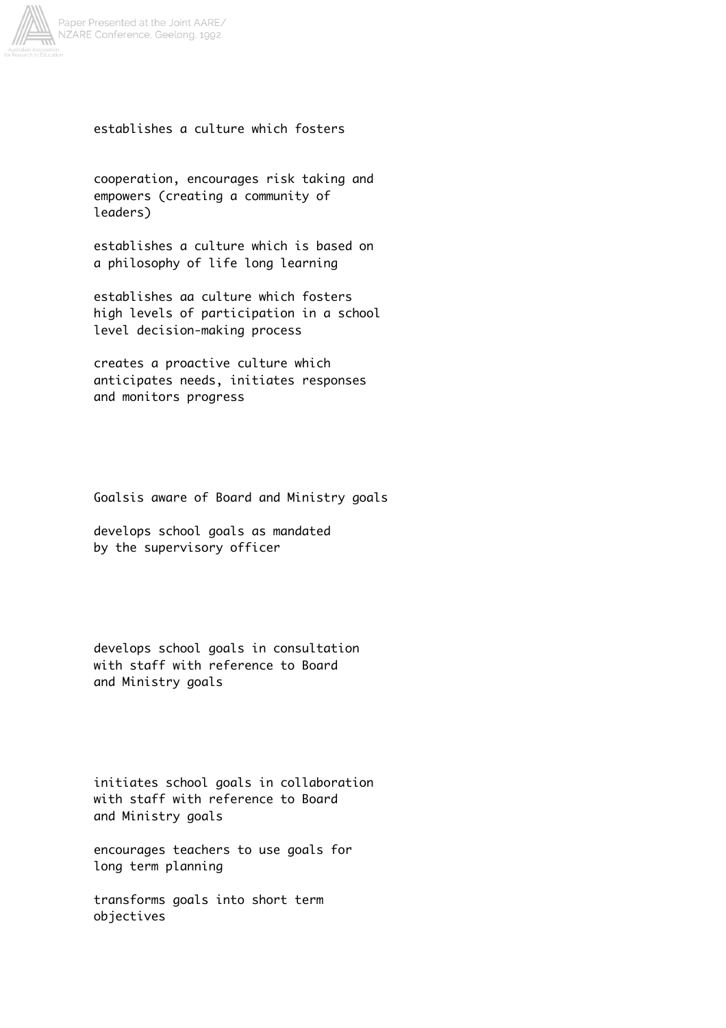

establishes a culture which fosters

cooperation, encourages risk taking and empowers (creating a community of leaders)

establishes a culture which is based on a philosophy of life long learning

establishes aa culture which fosters high levels of participation in a school level decision-making process

creates a proactive culture which anticipates needs, initiates responses and monitors progress

Goalsis aware of Board and Ministry goals

develops school goals as mandated by the supervisory officer

develops school goals in consultation with staff with reference to Board and Ministry goals

initiates school goals in collaboration with staff with reference to Board and Ministry goals

encourages teachers to use goals for long term planning

transforms goals into short term objectives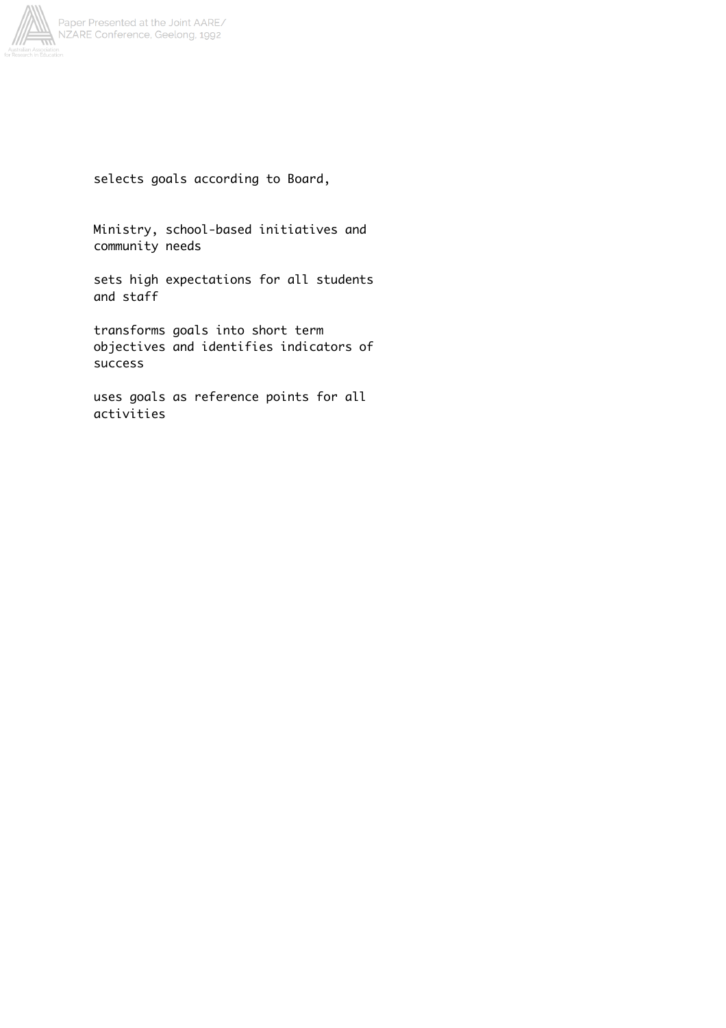

selects goals according to Board,

Ministry, school-based initiatives and community needs

sets high expectations for all students and staff

transforms goals into short term objectives and identifies indicators of success

uses goals as reference points for all activities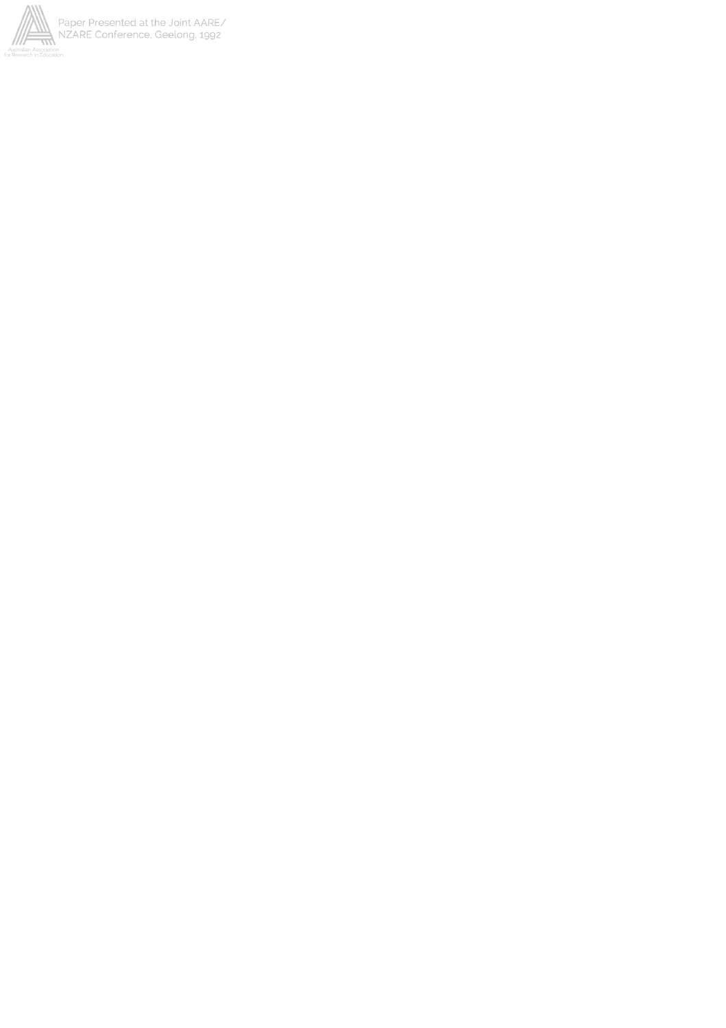